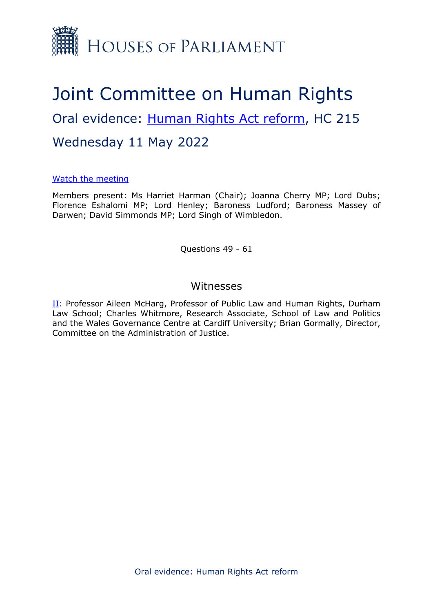

# Joint Committee on Human Rights Oral evidence: [Human](https://committees.parliament.uk/work/6404/human-rights-act-reform/) [Rights](https://committees.parliament.uk/work/6404/human-rights-act-reform/) [Act](https://committees.parliament.uk/work/6404/human-rights-act-reform/) [reform](https://committees.parliament.uk/work/6404/human-rights-act-reform/), HC 215 Wednesday 11 May 2022

#### [Watch](https://parliamentlive.tv/Event/Index/f8f50233-aa04-4821-8290-e82b9e11876a) [the](https://parliamentlive.tv/Event/Index/f8f50233-aa04-4821-8290-e82b9e11876a) [meeting](https://parliamentlive.tv/Event/Index/f8f50233-aa04-4821-8290-e82b9e11876a)

Members present: Ms Harriet Harman (Chair); Joanna Cherry MP; Lord Dubs; Florence Eshalomi MP; Lord Henley; Baroness Ludford; Baroness Massey of Darwen; David Simmonds MP; Lord Singh of Wimbledon.

Questions 49 - 61

### Witnesses

[II](#page-1-0): Professor Aileen McHarg, Professor of Public Law and Human Rights, Durham Law School; Charles Whitmore, Research Associate, School of Law and Politics and the Wales Governance Centre at Cardiff University; Brian Gormally, Director, Committee on the Administration of Justice.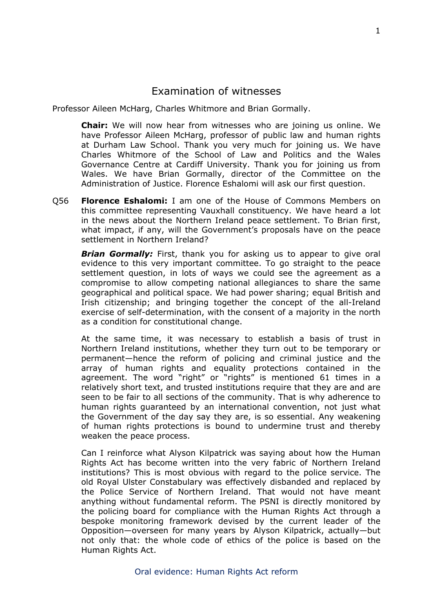## <span id="page-1-0"></span>Examination of witnesses

Professor Aileen McHarg, Charles Whitmore and Brian Gormally.

**Chair:** We will now hear from witnesses who are joining us online. We have Professor Aileen McHarg, professor of public law and human rights at Durham Law School. Thank you very much for joining us. We have Charles Whitmore of the School of Law and Politics and the Wales Governance Centre at Cardiff University. Thank you for joining us from Wales. We have Brian Gormally, director of the Committee on the Administration of Justice. Florence Eshalomi will ask our first question.

Q56 **Florence Eshalomi:** I am one of the House of Commons Members on this committee representing Vauxhall constituency. We have heard a lot in the news about the Northern Ireland peace settlement. To Brian first, what impact, if any, will the Government's proposals have on the peace settlement in Northern Ireland?

*Brian Gormally:* First, thank you for asking us to appear to give oral evidence to this very important committee. To go straight to the peace settlement question, in lots of ways we could see the agreement as a compromise to allow competing national allegiances to share the same geographical and political space. We had power sharing; equal British and Irish citizenship; and bringing together the concept of the all-Ireland exercise of self-determination, with the consent of a majority in the north as a condition for constitutional change.

At the same time, it was necessary to establish a basis of trust in Northern Ireland institutions, whether they turn out to be temporary or permanent—hence the reform of policing and criminal justice and the array of human rights and equality protections contained in the agreement. The word "right" or "rights" is mentioned 61 times in a relatively short text, and trusted institutions require that they are and are seen to be fair to all sections of the community. That is why adherence to human rights guaranteed by an international convention, not just what the Government of the day say they are, is so essential. Any weakening of human rights protections is bound to undermine trust and thereby weaken the peace process.

Can I reinforce what Alyson Kilpatrick was saying about how the Human Rights Act has become written into the very fabric of Northern Ireland institutions? This is most obvious with regard to the police service. The old Royal Ulster Constabulary was effectively disbanded and replaced by the Police Service of Northern Ireland. That would not have meant anything without fundamental reform. The PSNI is directly monitored by the policing board for compliance with the Human Rights Act through a bespoke monitoring framework devised by the current leader of the Opposition—overseen for many years by Alyson Kilpatrick, actually—but not only that: the whole code of ethics of the police is based on the Human Rights Act.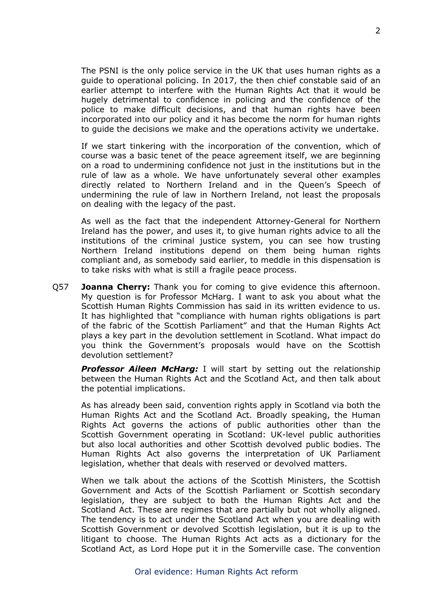The PSNI is the only police service in the UK that uses human rights as a guide to operational policing. In 2017, the then chief constable said of an earlier attempt to interfere with the Human Rights Act that it would be hugely detrimental to confidence in policing and the confidence of the police to make difficult decisions, and that human rights have been incorporated into our policy and it has become the norm for human rights to guide the decisions we make and the operations activity we undertake.

If we start tinkering with the incorporation of the convention, which of course was a basic tenet of the peace agreement itself, we are beginning on a road to undermining confidence not just in the institutions but in the rule of law as a whole. We have unfortunately several other examples directly related to Northern Ireland and in the Queen's Speech of undermining the rule of law in Northern Ireland, not least the proposals on dealing with the legacy of the past.

As well as the fact that the independent Attorney-General for Northern Ireland has the power, and uses it, to give human rights advice to all the institutions of the criminal justice system, you can see how trusting Northern Ireland institutions depend on them being human rights compliant and, as somebody said earlier, to meddle in this dispensation is to take risks with what is still a fragile peace process.

Q57 **Joanna Cherry:** Thank you for coming to give evidence this afternoon. My question is for Professor McHarg. I want to ask you about what the Scottish Human Rights Commission has said in its written evidence to us. It has highlighted that "compliance with human rights obligations is part of the fabric of the Scottish Parliament" and that the Human Rights Act plays a key part in the devolution settlement in Scotland. What impact do you think the Government's proposals would have on the Scottish devolution settlement?

*Professor Aileen McHarg:* I will start by setting out the relationship between the Human Rights Act and the Scotland Act, and then talk about the potential implications.

As has already been said, convention rights apply in Scotland via both the Human Rights Act and the Scotland Act. Broadly speaking, the Human Rights Act governs the actions of public authorities other than the Scottish Government operating in Scotland: UK-level public authorities but also local authorities and other Scottish devolved public bodies. The Human Rights Act also governs the interpretation of UK Parliament legislation, whether that deals with reserved or devolved matters.

When we talk about the actions of the Scottish Ministers, the Scottish Government and Acts of the Scottish Parliament or Scottish secondary legislation, they are subject to both the Human Rights Act and the Scotland Act. These are regimes that are partially but not wholly aligned. The tendency is to act under the Scotland Act when you are dealing with Scottish Government or devolved Scottish legislation, but it is up to the litigant to choose. The Human Rights Act acts as a dictionary for the Scotland Act, as Lord Hope put it in the Somerville case. The convention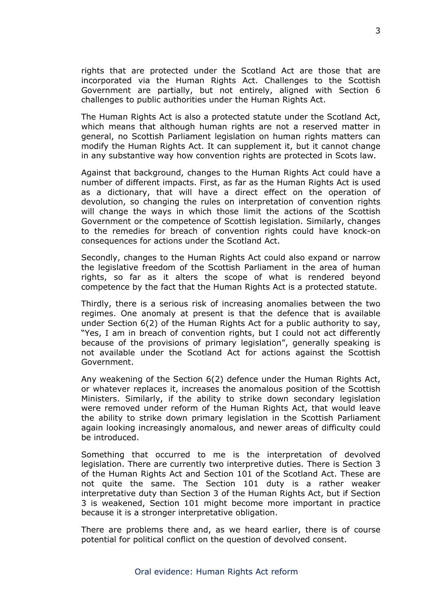rights that are protected under the Scotland Act are those that are incorporated via the Human Rights Act. Challenges to the Scottish Government are partially, but not entirely, aligned with Section 6 challenges to public authorities under the Human Rights Act.

The Human Rights Act is also a protected statute under the Scotland Act, which means that although human rights are not a reserved matter in general, no Scottish Parliament legislation on human rights matters can modify the Human Rights Act. It can supplement it, but it cannot change in any substantive way how convention rights are protected in Scots law.

Against that background, changes to the Human Rights Act could have a number of different impacts. First, as far as the Human Rights Act is used as a dictionary, that will have a direct effect on the operation of devolution, so changing the rules on interpretation of convention rights will change the ways in which those limit the actions of the Scottish Government or the competence of Scottish legislation. Similarly, changes to the remedies for breach of convention rights could have knock-on consequences for actions under the Scotland Act.

Secondly, changes to the Human Rights Act could also expand or narrow the legislative freedom of the Scottish Parliament in the area of human rights, so far as it alters the scope of what is rendered beyond competence by the fact that the Human Rights Act is a protected statute.

Thirdly, there is a serious risk of increasing anomalies between the two regimes. One anomaly at present is that the defence that is available under Section 6(2) of the Human Rights Act for a public authority to say, "Yes, I am in breach of convention rights, but I could not act differently because of the provisions of primary legislation", generally speaking is not available under the Scotland Act for actions against the Scottish Government.

Any weakening of the Section 6(2) defence under the Human Rights Act, or whatever replaces it, increases the anomalous position of the Scottish Ministers. Similarly, if the ability to strike down secondary legislation were removed under reform of the Human Rights Act, that would leave the ability to strike down primary legislation in the Scottish Parliament again looking increasingly anomalous, and newer areas of difficulty could be introduced.

Something that occurred to me is the interpretation of devolved legislation. There are currently two interpretive duties. There is Section 3 of the Human Rights Act and Section 101 of the Scotland Act. These are not quite the same. The Section 101 duty is a rather weaker interpretative duty than Section 3 of the Human Rights Act, but if Section 3 is weakened, Section 101 might become more important in practice because it is a stronger interpretative obligation.

There are problems there and, as we heard earlier, there is of course potential for political conflict on the question of devolved consent.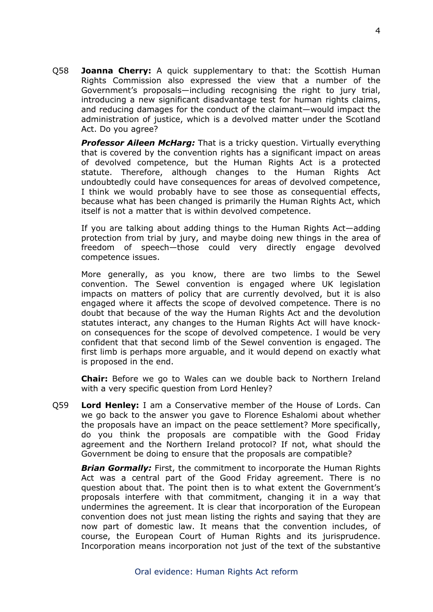Q58 **Joanna Cherry:** A quick supplementary to that: the Scottish Human Rights Commission also expressed the view that a number of the Government's proposals—including recognising the right to jury trial, introducing a new significant disadvantage test for human rights claims, and reducing damages for the conduct of the claimant—would impact the administration of justice, which is a devolved matter under the Scotland Act. Do you agree?

*Professor Aileen McHarg:* That is a tricky question. Virtually everything that is covered by the convention rights has a significant impact on areas of devolved competence, but the Human Rights Act is a protected statute. Therefore, although changes to the Human Rights Act undoubtedly could have consequences for areas of devolved competence, I think we would probably have to see those as consequential effects, because what has been changed is primarily the Human Rights Act, which itself is not a matter that is within devolved competence.

If you are talking about adding things to the Human Rights Act—adding protection from trial by jury, and maybe doing new things in the area of freedom of speech—those could very directly engage devolved competence issues.

More generally, as you know, there are two limbs to the Sewel convention. The Sewel convention is engaged where UK legislation impacts on matters of policy that are currently devolved, but it is also engaged where it affects the scope of devolved competence. There is no doubt that because of the way the Human Rights Act and the devolution statutes interact, any changes to the Human Rights Act will have knockon consequences for the scope of devolved competence. I would be very confident that that second limb of the Sewel convention is engaged. The first limb is perhaps more arguable, and it would depend on exactly what is proposed in the end.

**Chair:** Before we go to Wales can we double back to Northern Ireland with a very specific question from Lord Henley?

Q59 **Lord Henley:** I am a Conservative member of the House of Lords. Can we go back to the answer you gave to Florence Eshalomi about whether the proposals have an impact on the peace settlement? More specifically, do you think the proposals are compatible with the Good Friday agreement and the Northern Ireland protocol? If not, what should the Government be doing to ensure that the proposals are compatible?

*Brian Gormally:* First, the commitment to incorporate the Human Rights Act was a central part of the Good Friday agreement. There is no question about that. The point then is to what extent the Government's proposals interfere with that commitment, changing it in a way that undermines the agreement. It is clear that incorporation of the European convention does not just mean listing the rights and saying that they are now part of domestic law. It means that the convention includes, of course, the European Court of Human Rights and its jurisprudence. Incorporation means incorporation not just of the text of the substantive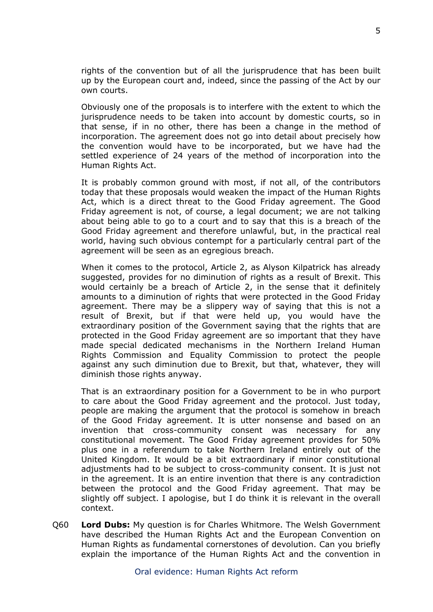rights of the convention but of all the jurisprudence that has been built up by the European court and, indeed, since the passing of the Act by our own courts.

Obviously one of the proposals is to interfere with the extent to which the jurisprudence needs to be taken into account by domestic courts, so in that sense, if in no other, there has been a change in the method of incorporation. The agreement does not go into detail about precisely how the convention would have to be incorporated, but we have had the settled experience of 24 years of the method of incorporation into the Human Rights Act.

It is probably common ground with most, if not all, of the contributors today that these proposals would weaken the impact of the Human Rights Act, which is a direct threat to the Good Friday agreement. The Good Friday agreement is not, of course, a legal document; we are not talking about being able to go to a court and to say that this is a breach of the Good Friday agreement and therefore unlawful, but, in the practical real world, having such obvious contempt for a particularly central part of the agreement will be seen as an egregious breach.

When it comes to the protocol, Article 2, as Alyson Kilpatrick has already suggested, provides for no diminution of rights as a result of Brexit. This would certainly be a breach of Article 2, in the sense that it definitely amounts to a diminution of rights that were protected in the Good Friday agreement. There may be a slippery way of saying that this is not a result of Brexit, but if that were held up, you would have the extraordinary position of the Government saying that the rights that are protected in the Good Friday agreement are so important that they have made special dedicated mechanisms in the Northern Ireland Human Rights Commission and Equality Commission to protect the people against any such diminution due to Brexit, but that, whatever, they will diminish those rights anyway.

That is an extraordinary position for a Government to be in who purport to care about the Good Friday agreement and the protocol. Just today, people are making the argument that the protocol is somehow in breach of the Good Friday agreement. It is utter nonsense and based on an invention that cross-community consent was necessary for any constitutional movement. The Good Friday agreement provides for 50% plus one in a referendum to take Northern Ireland entirely out of the United Kingdom. It would be a bit extraordinary if minor constitutional adjustments had to be subject to cross-community consent. It is just not in the agreement. It is an entire invention that there is any contradiction between the protocol and the Good Friday agreement. That may be slightly off subject. I apologise, but I do think it is relevant in the overall context.

Q60 **Lord Dubs:** My question is for Charles Whitmore. The Welsh Government have described the Human Rights Act and the European Convention on Human Rights as fundamental cornerstones of devolution. Can you briefly explain the importance of the Human Rights Act and the convention in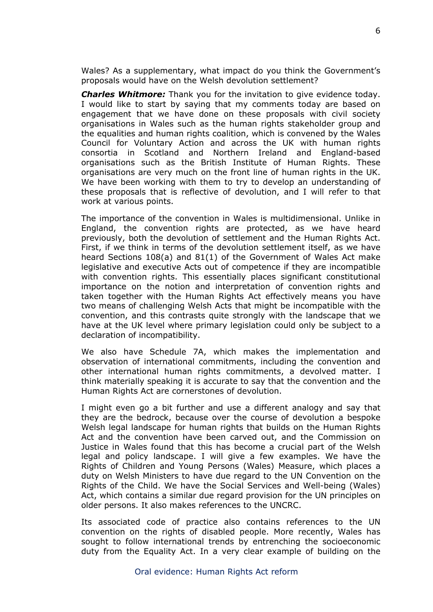Wales? As a supplementary, what impact do you think the Government's proposals would have on the Welsh devolution settlement?

*Charles Whitmore:* Thank you for the invitation to give evidence today. I would like to start by saying that my comments today are based on engagement that we have done on these proposals with civil society organisations in Wales such as the human rights stakeholder group and the equalities and human rights coalition, which is convened by the Wales Council for Voluntary Action and across the UK with human rights consortia in Scotland and Northern Ireland and England-based organisations such as the British Institute of Human Rights. These organisations are very much on the front line of human rights in the UK. We have been working with them to try to develop an understanding of these proposals that is reflective of devolution, and I will refer to that work at various points.

The importance of the convention in Wales is multidimensional. Unlike in England, the convention rights are protected, as we have heard previously, both the devolution of settlement and the Human Rights Act. First, if we think in terms of the devolution settlement itself, as we have heard Sections 108(a) and 81(1) of the Government of Wales Act make legislative and executive Acts out of competence if they are incompatible with convention rights. This essentially places significant constitutional importance on the notion and interpretation of convention rights and taken together with the Human Rights Act effectively means you have two means of challenging Welsh Acts that might be incompatible with the convention, and this contrasts quite strongly with the landscape that we have at the UK level where primary legislation could only be subject to a declaration of incompatibility.

We also have Schedule 7A, which makes the implementation and observation of international commitments, including the convention and other international human rights commitments, a devolved matter. I think materially speaking it is accurate to say that the convention and the Human Rights Act are cornerstones of devolution.

I might even go a bit further and use a different analogy and say that they are the bedrock, because over the course of devolution a bespoke Welsh legal landscape for human rights that builds on the Human Rights Act and the convention have been carved out, and the Commission on Justice in Wales found that this has become a crucial part of the Welsh legal and policy landscape. I will give a few examples. We have the Rights of Children and Young Persons (Wales) Measure, which places a duty on Welsh Ministers to have due regard to the UN Convention on the Rights of the Child. We have the Social Services and Well-being (Wales) Act, which contains a similar due regard provision for the UN principles on older persons. It also makes references to the UNCRC.

Its associated code of practice also contains references to the UN convention on the rights of disabled people. More recently, Wales has sought to follow international trends by entrenching the socioeconomic duty from the Equality Act. In a very clear example of building on the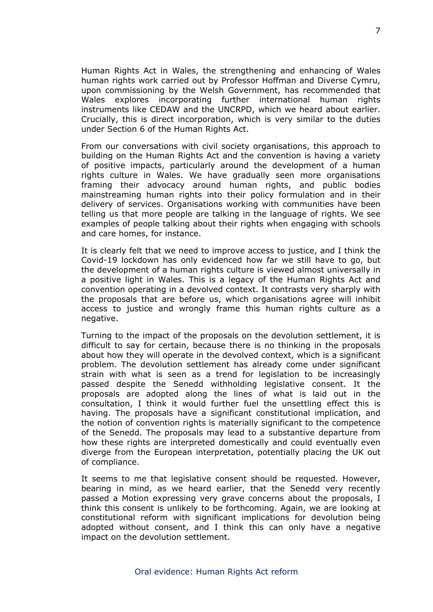Human Rights Act in Wales, the strengthening and enhancing of Wales human rights work carried out by Professor Hoffman and Diverse Cymru, upon commissioning by the Welsh Government, has recommended that Wales explores incorporating further international human rights instruments like CEDAW and the UNCRPD, which we heard about earlier. Crucially, this is direct incorporation, which is very similar to the duties under Section 6 of the Human Rights Act.

From our conversations with civil society organisations, this approach to building on the Human Rights Act and the convention is having a variety of positive impacts, particularly around the development of a human rights culture in Wales. We have gradually seen more organisations framing their advocacy around human rights, and public bodies mainstreaming human rights into their policy formulation and in their delivery of services. Organisations working with communities have been telling us that more people are talking in the language of rights. We see examples of people talking about their rights when engaging with schools and care homes, for instance.

It is clearly felt that we need to improve access to justice, and I think the Covid-19 lockdown has only evidenced how far we still have to go, but the development of a human rights culture is viewed almost universally in a positive light in Wales. This is a legacy of the Human Rights Act and convention operating in a devolved context. It contrasts very sharply with the proposals that are before us, which organisations agree will inhibit access to justice and wrongly frame this human rights culture as a negative.

Turning to the impact of the proposals on the devolution settlement, it is difficult to say for certain, because there is no thinking in the proposals about how they will operate in the devolved context, which is a significant problem. The devolution settlement has already come under significant strain with what is seen as a trend for legislation to be increasingly passed despite the Senedd withholding legislative consent. It the proposals are adopted along the lines of what is laid out in the consultation, I think it would further fuel the unsettling effect this is having. The proposals have a significant constitutional implication, and the notion of convention rights is materially significant to the competence of the Senedd. The proposals may lead to a substantive departure from how these rights are interpreted domestically and could eventually even diverge from the European interpretation, potentially placing the UK out of compliance.

It seems to me that legislative consent should be requested. However, bearing in mind, as we heard earlier, that the Senedd very recently passed a Motion expressing very grave concerns about the proposals, I think this consent is unlikely to be forthcoming. Again, we are looking at constitutional reform with significant implications for devolution being adopted without consent, and I think this can only have a negative impact on the devolution settlement.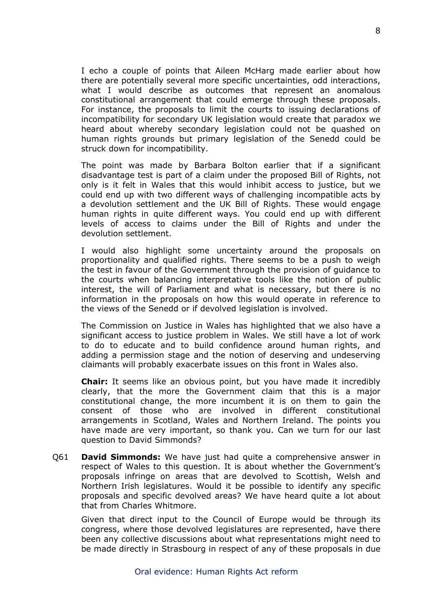I echo a couple of points that Aileen McHarg made earlier about how there are potentially several more specific uncertainties, odd interactions, what I would describe as outcomes that represent an anomalous constitutional arrangement that could emerge through these proposals. For instance, the proposals to limit the courts to issuing declarations of incompatibility for secondary UK legislation would create that paradox we heard about whereby secondary legislation could not be quashed on human rights grounds but primary legislation of the Senedd could be struck down for incompatibility.

The point was made by Barbara Bolton earlier that if a significant disadvantage test is part of a claim under the proposed Bill of Rights, not only is it felt in Wales that this would inhibit access to justice, but we could end up with two different ways of challenging incompatible acts by a devolution settlement and the UK Bill of Rights. These would engage human rights in quite different ways. You could end up with different levels of access to claims under the Bill of Rights and under the devolution settlement.

I would also highlight some uncertainty around the proposals on proportionality and qualified rights. There seems to be a push to weigh the test in favour of the Government through the provision of guidance to the courts when balancing interpretative tools like the notion of public interest, the will of Parliament and what is necessary, but there is no information in the proposals on how this would operate in reference to the views of the Senedd or if devolved legislation is involved.

The Commission on Justice in Wales has highlighted that we also have a significant access to justice problem in Wales. We still have a lot of work to do to educate and to build confidence around human rights, and adding a permission stage and the notion of deserving and undeserving claimants will probably exacerbate issues on this front in Wales also.

**Chair:** It seems like an obvious point, but you have made it incredibly clearly, that the more the Government claim that this is a major constitutional change, the more incumbent it is on them to gain the consent of those who are involved in different constitutional arrangements in Scotland, Wales and Northern Ireland. The points you have made are very important, so thank you. Can we turn for our last question to David Simmonds?

Q61 **David Simmonds:** We have just had quite a comprehensive answer in respect of Wales to this question. It is about whether the Government's proposals infringe on areas that are devolved to Scottish, Welsh and Northern Irish legislatures. Would it be possible to identify any specific proposals and specific devolved areas? We have heard quite a lot about that from Charles Whitmore.

Given that direct input to the Council of Europe would be through its congress, where those devolved legislatures are represented, have there been any collective discussions about what representations might need to be made directly in Strasbourg in respect of any of these proposals in due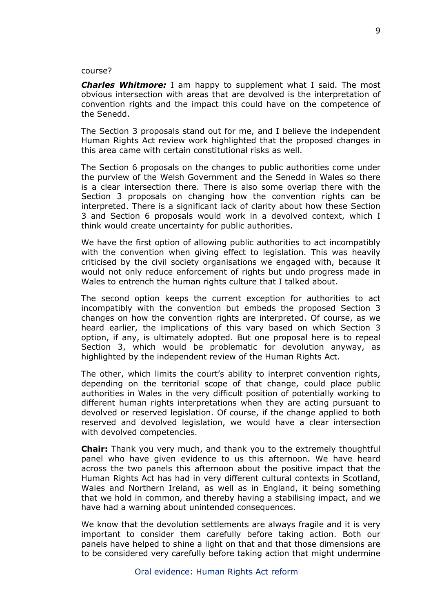#### course?

*Charles Whitmore:* I am happy to supplement what I said. The most obvious intersection with areas that are devolved is the interpretation of convention rights and the impact this could have on the competence of the Senedd.

The Section 3 proposals stand out for me, and I believe the independent Human Rights Act review work highlighted that the proposed changes in this area came with certain constitutional risks as well.

The Section 6 proposals on the changes to public authorities come under the purview of the Welsh Government and the Senedd in Wales so there is a clear intersection there. There is also some overlap there with the Section 3 proposals on changing how the convention rights can be interpreted. There is a significant lack of clarity about how these Section 3 and Section 6 proposals would work in a devolved context, which I think would create uncertainty for public authorities.

We have the first option of allowing public authorities to act incompatibly with the convention when giving effect to legislation. This was heavily criticised by the civil society organisations we engaged with, because it would not only reduce enforcement of rights but undo progress made in Wales to entrench the human rights culture that I talked about.

The second option keeps the current exception for authorities to act incompatibly with the convention but embeds the proposed Section 3 changes on how the convention rights are interpreted. Of course, as we heard earlier, the implications of this vary based on which Section 3 option, if any, is ultimately adopted. But one proposal here is to repeal Section 3, which would be problematic for devolution anyway, as highlighted by the independent review of the Human Rights Act.

The other, which limits the court's ability to interpret convention rights, depending on the territorial scope of that change, could place public authorities in Wales in the very difficult position of potentially working to different human rights interpretations when they are acting pursuant to devolved or reserved legislation. Of course, if the change applied to both reserved and devolved legislation, we would have a clear intersection with devolved competencies.

**Chair:** Thank you very much, and thank you to the extremely thoughtful panel who have given evidence to us this afternoon. We have heard across the two panels this afternoon about the positive impact that the Human Rights Act has had in very different cultural contexts in Scotland, Wales and Northern Ireland, as well as in England, it being something that we hold in common, and thereby having a stabilising impact, and we have had a warning about unintended consequences.

We know that the devolution settlements are always fragile and it is very important to consider them carefully before taking action. Both our panels have helped to shine a light on that and that those dimensions are to be considered very carefully before taking action that might undermine